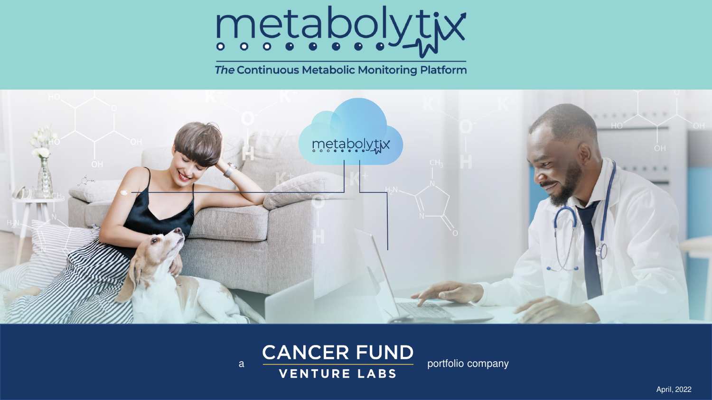

The Continuous Metabolic Monitoring Platform



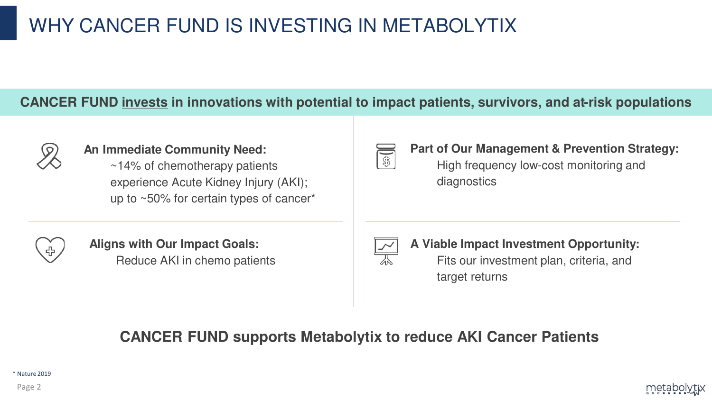# WHY CANCER FUND IS INVESTING IN METABOLYTIX

## **CANCER FUND invests in innovations with potential to impact patients, survivors, and at-risk populations**



#### **An Immediate Community Need:**

~14% of chemotherapy patients experience Acute Kidney Injury (AKI); up to ~50% for certain types of cancer\*

# **Part of Our Management & Prevention Strategy:**

High frequency low-cost monitoring and diagnostics



**Aligns with Our Impact Goals:** Reduce AKI in chemo patients

**A Viable Impact Investment Opportunity:** Fits our investment plan, criteria, and target returns

# **CANCER FUND supports Metabolytix to reduce AKI Cancer Patients**

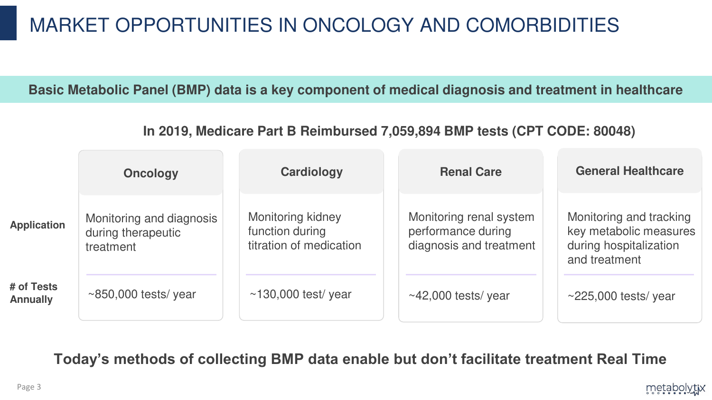# MARKET OPPORTUNITIES IN ONCOLOGY AND COMORBIDITIES

**Basic Metabolic Panel (BMP) data is a key component of medical diagnosis and treatment in healthcare**

**In 2019, Medicare Part B Reimbursed 7,059,894 BMP tests (CPT CODE: 80048)**

|                               | <b>Oncology</b>                                             | Cardiology                                                      | <b>Renal Care</b>                                                        | <b>General Healthcare</b>                                                                    |
|-------------------------------|-------------------------------------------------------------|-----------------------------------------------------------------|--------------------------------------------------------------------------|----------------------------------------------------------------------------------------------|
| <b>Application</b>            | Monitoring and diagnosis<br>during therapeutic<br>treatment | Monitoring kidney<br>function during<br>titration of medication | Monitoring renal system<br>performance during<br>diagnosis and treatment | Monitoring and tracking<br>key metabolic measures<br>during hospitalization<br>and treatment |
| # of Tests<br><b>Annually</b> | $\sim$ 850,000 tests/year                                   | $\sim$ 130,000 test/ year                                       | $\sim$ 42,000 tests/year                                                 | $\sim$ 225,000 tests/year                                                                    |

**Today's methods of collecting BMP data enable but don't facilitate treatment Real Time**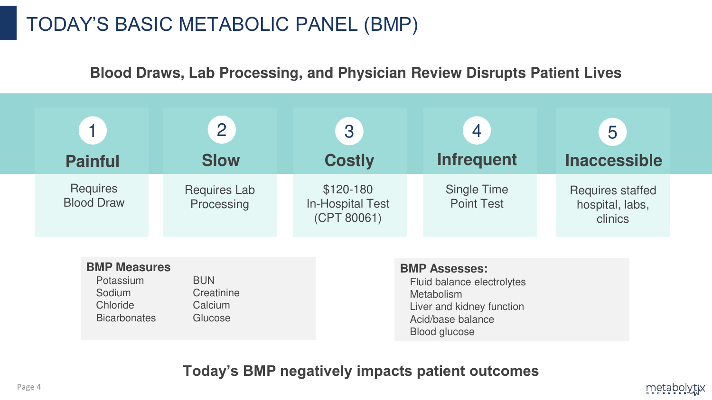# TODAY'S BASIC METABOLIC PANEL (BMP)

Bicarbonates Glucose

**Blood Draws, Lab Processing, and Physician Review Disrupts Patient Lives**

| <b>Painful</b>                                         | $\overline{2}$<br><b>Slow</b>       | 3<br><b>Costly</b>                                   | $\overline{4}$<br><b>Infrequent</b>                                                           | 5<br><b>Inaccessible</b>                              |
|--------------------------------------------------------|-------------------------------------|------------------------------------------------------|-----------------------------------------------------------------------------------------------|-------------------------------------------------------|
| <b>Requires</b><br><b>Blood Draw</b>                   | <b>Requires Lab</b><br>Processing   | $$120-180$<br><b>In-Hospital Test</b><br>(CPT 80061) | <b>Single Time</b><br><b>Point Test</b>                                                       | <b>Requires staffed</b><br>hospital, labs,<br>clinics |
| <b>BMP Measures</b><br>Potassium<br>Sodium<br>Chloride | <b>BUN</b><br>Creatinine<br>Calcium |                                                      | <b>BMP Assesses:</b><br>Fluid balance electrolytes<br>Metabolism<br>Liver and kidney function |                                                       |

## **Today's BMP negatively impacts patient outcomes**

Acid/base balance

metabolytix

Blood glucose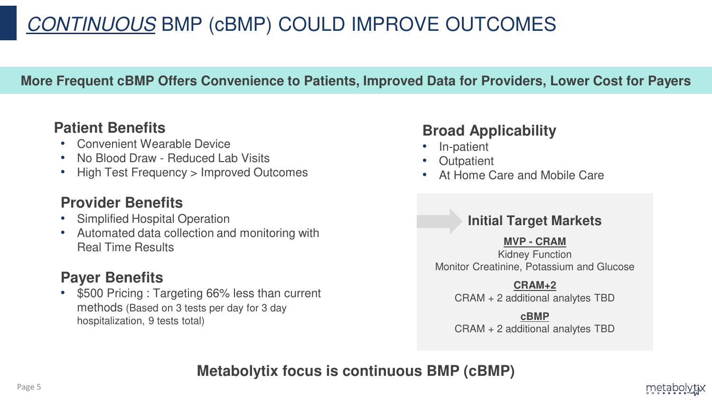# CONTINUOUS BMP (cBMP) COULD IMPROVE OUTCOMES

## **More Frequent cBMP Offers Convenience to Patients, Improved Data for Providers, Lower Cost for Payers**

## **Patient Benefits**

- Convenient Wearable Device
- No Blood Draw Reduced Lab Visits
- High Test Frequency > Improved Outcomes

## **Provider Benefits**

- Simplified Hospital Operation
- Automated data collection and monitoring with Real Time Results

# **Payer Benefits**

• \$500 Pricing : Targeting 66% less than current methods (Based on 3 tests per day for 3 day hospitalization, 9 tests total)

## **Broad Applicability**

- In-patient
- **Outpatient**
- At Home Care and Mobile Care

## **Initial Target Markets**

#### **MVP - CRAM**

Kidney Function Monitor Creatinine, Potassium and Glucose

#### **CRAM+2**

CRAM + 2 additional analytes TBD

#### **cBMP**

CRAM + 2 additional analytes TBD

metabolytix

**Metabolytix focus is continuous BMP (cBMP)**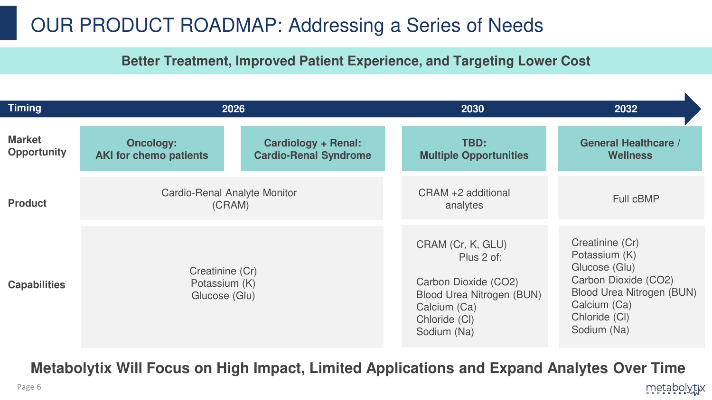# OUR PRODUCT ROADMAP: Addressing a Series of Needs

## **Better Treatment, Improved Patient Experience, and Targeting Lower Cost**

| <b>Timing</b>                       | 2026                                              |                                                     | 2030                                                                                                                                        | 2032                                                                                                                                                          |
|-------------------------------------|---------------------------------------------------|-----------------------------------------------------|---------------------------------------------------------------------------------------------------------------------------------------------|---------------------------------------------------------------------------------------------------------------------------------------------------------------|
| <b>Market</b><br><b>Opportunity</b> | <b>Oncology:</b><br><b>AKI for chemo patients</b> | Cardiology + Renal:<br><b>Cardio-Renal Syndrome</b> | TBD:<br><b>Multiple Opportunities</b>                                                                                                       | <b>General Healthcare /</b><br><b>Wellness</b>                                                                                                                |
| <b>Product</b>                      | <b>Cardio-Renal Analyte Monitor</b><br>(CRAM)     |                                                     | CRAM +2 additional<br>analytes                                                                                                              | Full cBMP                                                                                                                                                     |
| <b>Capabilities</b>                 | Creatinine (Cr)<br>Potassium (K)<br>Glucose (Glu) |                                                     | CRAM (Cr, K, GLU)<br>Plus 2 of:<br>Carbon Dioxide (CO2)<br><b>Blood Urea Nitrogen (BUN)</b><br>Calcium (Ca)<br>Chloride (CI)<br>Sodium (Na) | Creatinine (Cr)<br>Potassium (K)<br>Glucose (Glu)<br>Carbon Dioxide (CO2)<br><b>Blood Urea Nitrogen (BUN)</b><br>Calcium (Ca)<br>Chloride (CI)<br>Sodium (Na) |

**Metabolytix Will Focus on High Impact, Limited Applications and Expand Analytes Over Time**

wetapolytix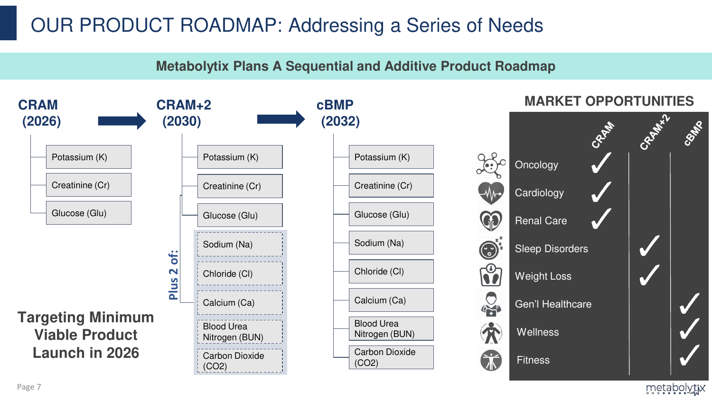# OUR PRODUCT ROADMAP: Addressing a Series of Needs

**Metabolytix Plans A Sequential and Additive Product Roadmap**



wetapolytix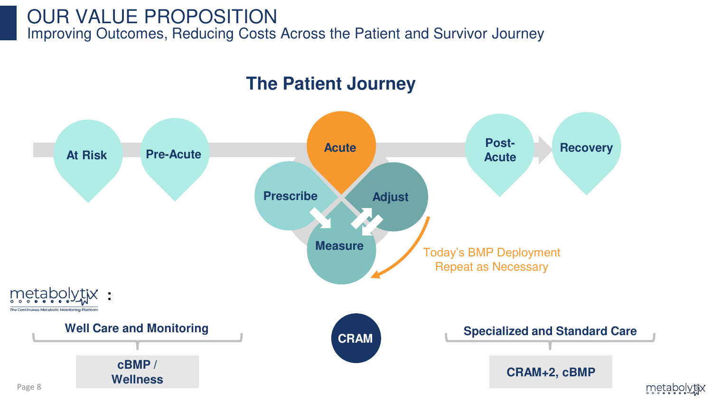# OUR VALUE PROPOSITION Improving Outcomes, Reducing Costs Across the Patient and Survivor Journey

# **The Patient Journey**

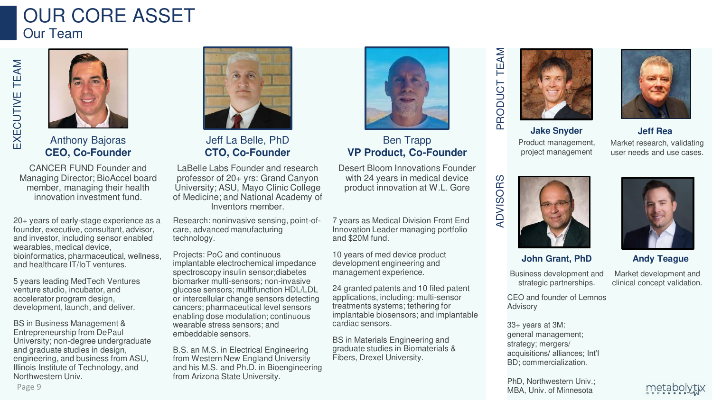# OUR CORE ASSET Our Team



Anthony Bajoras **CEO, Co-Founder**

CANCER FUND Founder and Managing Director; BioAccel board member, managing their health innovation investment fund.

20+ years of early-stage experience as a founder, executive, consultant, advisor, and investor, including sensor enabled wearables, medical device, bioinformatics, pharmaceutical, wellness, and healthcare IT/IoT ventures.

5 years leading MedTech Ventures venture studio, incubator, and accelerator program design, development, launch, and deliver.

BS in Business Management & Entrepreneurship from DePaul University; non-degree undergraduate and graduate studies in design, engineering, and business from ASU, Illinois Institute of Technology, and Northwestern Univ.



Jeff La Belle, PhD **CTO, Co-Founder**

LaBelle Labs Founder and research professor of 20+ yrs: Grand Canyon University; ASU, Mayo Clinic College of Medicine; and National Academy of Inventors member.

Research: noninvasive sensing, point-ofcare, advanced manufacturing technology.

Projects: PoC and continuous implantable electrochemical impedance spectroscopy insulin sensor;diabetes biomarker multi-sensors; non-invasive glucose sensors; multifunction HDL/LDL or intercellular change sensors detecting cancers; pharmaceutical level sensors enabling dose modulation; continuous wearable stress sensors; and embeddable sensors.

B.S. an M.S. in Electrical Engineering from Western New England University and his M.S. and Ph.D. in Bioengineering from Arizona State University.



Ben Trapp **VP Product, Co-Founder**

Desert Bloom Innovations Founder with 24 years in medical device product innovation at W.L. Gore

7 years as Medical Division Front End Innovation Leader managing portfolio and \$20M fund.

10 years of med device product development engineering and management experience.

24 granted patents and 10 filed patent applications, including: multi-sensor treatments systems; tethering for implantable biosensors; and implantable cardiac sensors.

BS in Materials Engineering and graduate studies in Biomaterials & Fibers, Drexel University.

# TEAM ADVISORS PRODUCT TEAM PRODUCT





**Jake Snyder** Product management, project management

Market research, validating user needs and use cases.

**Jeff Rea**



**ADVISORS** 



**John Grant, PhD**

Business development and strategic partnerships.

Market development and clinical concept validation.

**Andy Teague**

CEO and founder of Lemnos Advisory

33+ years at 3M: general management; strategy; mergers/ acquisitions/ alliances; Int'l BD; commercialization.

PhD, Northwestern Univ.; MBA, Univ. of Minnesota

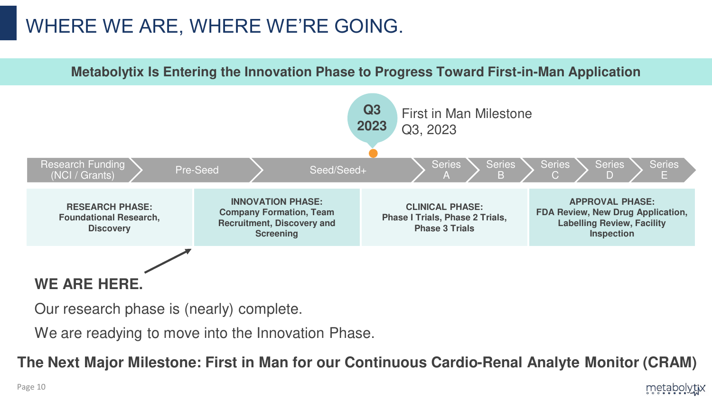# WHERE WE ARE, WHERE WE'RE GOING.



Our research phase is (nearly) complete.

We are readying to move into the Innovation Phase.

**The Next Major Milestone: First in Man for our Continuous Cardio-Renal Analyte Monitor (CRAM)**

metabolytix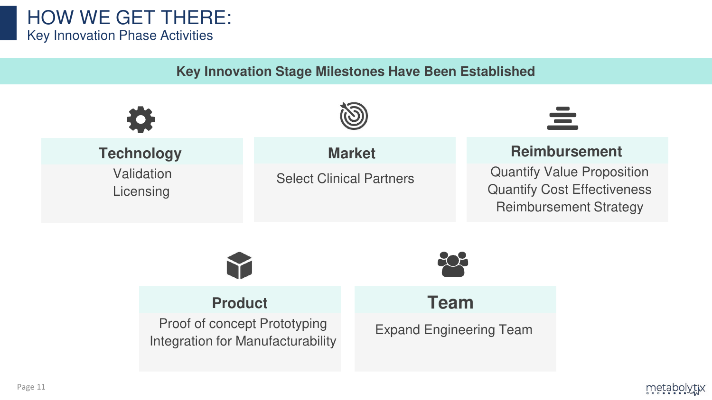# HOW WE GET THERE: Key Innovation Phase Activities

**Key Innovation Stage Milestones Have Been Established**

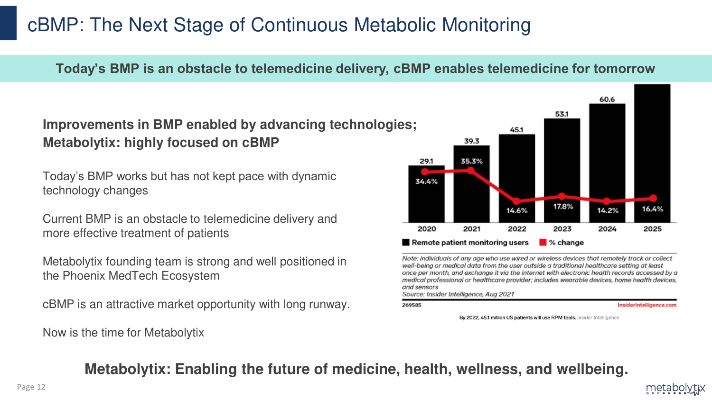# cBMP: The Next Stage of Continuous Metabolic Monitoring

## **Today's BMP is an obstacle to telemedicine delivery, cBMP enables telemedicine for tomorrow**

## **Improvements in BMP enabled by advancing technologies; Metabolytix: highly focused on cBMP**

Today's BMP works but has not kept pace with dynamic technology changes

Current BMP is an obstacle to telemedicine delivery and more effective treatment of patients

Metabolytix founding team is strong and well positioned in the Phoenix MedTech Ecosystem

cBMP is an attractive market opportunity with long runway.

Now is the time for Metabolytix



Note: individuals of any age who use wired or wireless devices that remotely track or collect well-being or medical data from the user outside a traditional healthcare setting at least once per month, and exchange it via the internet with electronic health records accessed by a medical professional or healthcare provider; includes wearable devices, home health devices, and sensors

Source: Insider Intelligence, Aug 2021

#### 269585

InsiderIntelligence.com

metabc

By 2022, 45.1 million US patients will use RPM tools. Insider Intelligence

**Metabolytix: Enabling the future of medicine, health, wellness, and wellbeing.**